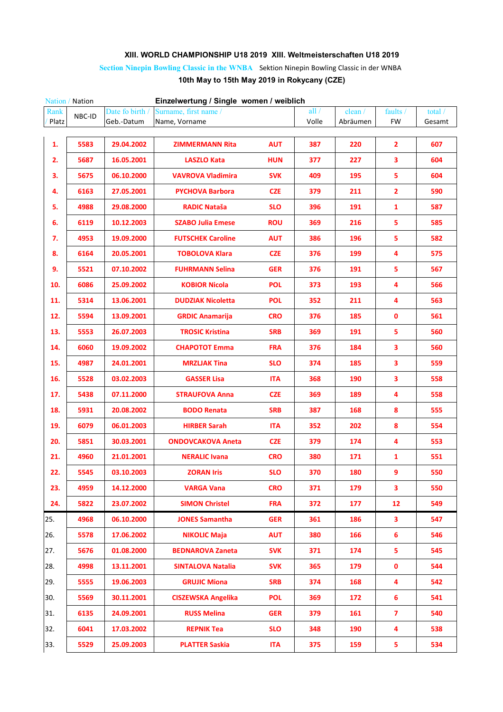## **XIII. WORLD CHAMPIONSHIP U18 2019 XIII. Weltmeisterschaften U18 2019**

**Section Ninepin Bowling Classic in the WNBA** Sektion Ninepin Bowling Classic in der WNBA

## **10th May to 15th May 2019 in Rokycany (CZE)**

|       | Einzelwertung / Single women / weiblich<br>Nation / Nation |                 |                           |            |         |          |                         |         |  |
|-------|------------------------------------------------------------|-----------------|---------------------------|------------|---------|----------|-------------------------|---------|--|
| Rank  | NBC-ID                                                     | Date fo birth / | Surname, first name /     |            | all $/$ | clean /  | faults /                | total / |  |
| Platz |                                                            | Geb.-Datum      | Name, Vorname             |            | Volle   | Abräumen | <b>FW</b>               | Gesamt  |  |
|       |                                                            |                 |                           |            |         |          |                         |         |  |
| 1.    | 5583                                                       | 29.04.2002      | <b>ZIMMERMANN Rita</b>    | <b>AUT</b> | 387     | 220      | 2                       | 607     |  |
| 2.    | 5687                                                       | 16.05.2001      | <b>LASZLO Kata</b>        | <b>HUN</b> | 377     | 227      | 3                       | 604     |  |
| 3.    | 5675                                                       | 06.10.2000      | <b>VAVROVA Vladimira</b>  | <b>SVK</b> | 409     | 195      | 5                       | 604     |  |
| 4.    | 6163                                                       | 27.05.2001      | <b>PYCHOVA Barbora</b>    | <b>CZE</b> | 379     | 211      | 2                       | 590     |  |
| 5.    | 4988                                                       | 29.08.2000      | <b>RADIC Nataša</b>       | <b>SLO</b> | 396     | 191      | $\mathbf{1}$            | 587     |  |
| 6.    | 6119                                                       | 10.12.2003      | <b>SZABO Julia Emese</b>  | <b>ROU</b> | 369     | 216      | 5                       | 585     |  |
| 7.    | 4953                                                       | 19.09.2000      | <b>FUTSCHEK Caroline</b>  | <b>AUT</b> | 386     | 196      | 5                       | 582     |  |
| 8.    | 6164                                                       | 20.05.2001      | <b>TOBOLOVA Klara</b>     | <b>CZE</b> | 376     | 199      | 4                       | 575     |  |
| 9.    | 5521                                                       | 07.10.2002      | <b>FUHRMANN Selina</b>    | <b>GER</b> | 376     | 191      | 5                       | 567     |  |
| 10.   | 6086                                                       | 25.09.2002      | <b>KOBIOR Nicola</b>      | <b>POL</b> | 373     | 193      | 4                       | 566     |  |
| 11.   | 5314                                                       | 13.06.2001      | <b>DUDZIAK Nicoletta</b>  | <b>POL</b> | 352     | 211      | 4                       | 563     |  |
| 12.   | 5594                                                       | 13.09.2001      | <b>GRDIC Anamarija</b>    | <b>CRO</b> | 376     | 185      | 0                       | 561     |  |
| 13.   | 5553                                                       | 26.07.2003      | <b>TROSIC Kristina</b>    | <b>SRB</b> | 369     | 191      | 5                       | 560     |  |
| 14.   | 6060                                                       | 19.09.2002      | <b>CHAPOTOT Emma</b>      | <b>FRA</b> | 376     | 184      | 3                       | 560     |  |
| 15.   | 4987                                                       | 24.01.2001      | <b>MRZLJAK Tina</b>       | <b>SLO</b> | 374     | 185      | 3                       | 559     |  |
| 16.   | 5528                                                       | 03.02.2003      | <b>GASSER Lisa</b>        | <b>ITA</b> | 368     | 190      | 3                       | 558     |  |
| 17.   | 5438                                                       | 07.11.2000      | <b>STRAUFOVA Anna</b>     | <b>CZE</b> | 369     | 189      | 4                       | 558     |  |
| 18.   | 5931                                                       | 20.08.2002      | <b>BODO Renata</b>        | <b>SRB</b> | 387     | 168      | 8                       | 555     |  |
| 19.   | 6079                                                       | 06.01.2003      | <b>HIRBER Sarah</b>       | <b>ITA</b> | 352     | 202      | 8                       | 554     |  |
| 20.   | 5851                                                       | 30.03.2001      | <b>ONDOVCAKOVA Aneta</b>  | <b>CZE</b> | 379     | 174      | 4                       | 553     |  |
| 21.   | 4960                                                       | 21.01.2001      | <b>NERALIC Ivana</b>      | <b>CRO</b> | 380     | 171      | 1                       | 551     |  |
| 22.   | 5545                                                       | 03.10.2003      | <b>ZORAN Iris</b>         | <b>SLO</b> | 370     | 180      | 9                       | 550     |  |
| 23.   | 4959                                                       | 14.12.2000      | <b>VARGA Vana</b>         | <b>CRO</b> | 371     | 179      | 3                       | 550     |  |
| 24.   | 5822                                                       | 23.07.2002      | <b>SIMON Christel</b>     | <b>FRA</b> | 372     | 177      | 12                      | 549     |  |
| 25.   | 4968                                                       | 06.10.2000      | <b>JONES Samantha</b>     | <b>GER</b> | 361     | 186      | 3                       | 547     |  |
| 26.   | 5578                                                       | 17.06.2002      | <b>NIKOLIC Maja</b>       | <b>AUT</b> | 380     | 166      | 6                       | 546     |  |
| 27.   | 5676                                                       | 01.08.2000      | <b>BEDNAROVA Zaneta</b>   | <b>SVK</b> | 371     | 174      | 5                       | 545     |  |
| 28.   | 4998                                                       | 13.11.2001      | <b>SINTALOVA Natalia</b>  | <b>SVK</b> | 365     | 179      | 0                       | 544     |  |
| 29.   | 5555                                                       | 19.06.2003      | <b>GRUJIC Miona</b>       | <b>SRB</b> | 374     | 168      | 4                       | 542     |  |
| 30.   | 5569                                                       | 30.11.2001      | <b>CISZEWSKA Angelika</b> | <b>POL</b> | 369     | 172      | 6                       | 541     |  |
| 31.   | 6135                                                       | 24.09.2001      | <b>RUSS Melina</b>        | <b>GER</b> | 379     | 161      | $\overline{\mathbf{z}}$ | 540     |  |
| 32.   | 6041                                                       | 17.03.2002      | <b>REPNIK Tea</b>         | <b>SLO</b> | 348     | 190      | 4                       | 538     |  |
| 33.   | 5529                                                       | 25.09.2003      | <b>PLATTER Saskia</b>     | <b>ITA</b> | 375     | 159      | 5                       | 534     |  |